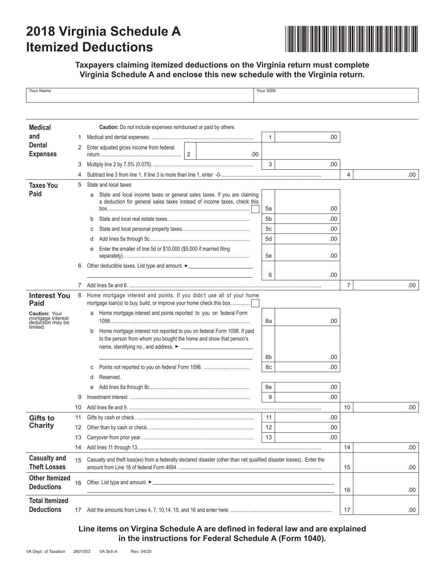# **2018 Virginia Schedule A Itemized Deductions**



### **Taxpayers claiming itemized deductions on the Virginia return must complete Virginia Schedule A and enclose this new schedule with the Virginia return.**

| Your Name                                                                 |    |                                                                                                                                                          | Your SSN |      |                |      |
|---------------------------------------------------------------------------|----|----------------------------------------------------------------------------------------------------------------------------------------------------------|----------|------|----------------|------|
|                                                                           |    |                                                                                                                                                          |          |      |                |      |
|                                                                           |    |                                                                                                                                                          |          |      |                |      |
| <b>Medical</b>                                                            |    | Caution: Do not include expenses reimbursed or paid by others.                                                                                           |          |      |                |      |
| and                                                                       | 1  |                                                                                                                                                          |          |      |                |      |
| <b>Dental</b>                                                             | 2  | Enter adjusted gross income from federal                                                                                                                 |          |      |                |      |
| <b>Expenses</b>                                                           |    | $\overline{2}$<br>.00.                                                                                                                                   |          |      |                |      |
|                                                                           | 3  |                                                                                                                                                          | 3        | .00  |                |      |
|                                                                           | 4  |                                                                                                                                                          |          |      | 4              | .00. |
| <b>Taxes You</b>                                                          | 5  | State and local taxes                                                                                                                                    |          |      |                |      |
| Paid                                                                      |    | State and local income taxes or general sales taxes. If you are claiming<br>a<br>a deduction for general sales taxes instead of income taxes, check this | .00      |      |                |      |
|                                                                           |    | b                                                                                                                                                        | 5a<br>5b | .00  |                |      |
|                                                                           |    | с                                                                                                                                                        | 5c       | .00  |                |      |
|                                                                           |    | d                                                                                                                                                        | 5d       | .00  |                |      |
|                                                                           |    | Enter the smaller of line 5d or \$10,000 (\$5,000 if married filing<br>е                                                                                 | 5e       | .00  |                |      |
|                                                                           | 6  | Other deductible taxes. List type and amount. ▶ _ _ _ _ _ _ _ _ _ _ _ _ _ _ _ _ _                                                                        |          |      |                |      |
|                                                                           |    |                                                                                                                                                          | 6        | .00  |                |      |
|                                                                           | 7  |                                                                                                                                                          |          |      | $\overline{7}$ | .00. |
| <b>Interest You</b>                                                       | 8  | Home mortgage interest and points. If you didn't use all of your home                                                                                    |          |      |                |      |
| Paid                                                                      |    | mortgage loan(s) to buy, build, or improve your home check this box                                                                                      |          |      |                |      |
| <b>Caution: Your</b><br>mortgage interest<br>deduction may be<br>limited. |    | Home mortgage interest and points reported to you on federal Form<br>a                                                                                   | 8a       | .00  |                |      |
|                                                                           |    | Home mortgage interest not reported to you on federal Form 1098. If paid<br>b<br>to the person from whom you bought the home and show that person's      |          |      |                |      |
|                                                                           |    |                                                                                                                                                          | 8b       | .00  |                |      |
|                                                                           |    | Points not reported to you on federal Form 1098.<br>с                                                                                                    | 8c       | .00  |                |      |
|                                                                           |    | Reserved.<br>d                                                                                                                                           |          |      |                |      |
|                                                                           |    | e                                                                                                                                                        | 8e       | .00  |                |      |
|                                                                           |    |                                                                                                                                                          | 9        | .00. |                |      |
|                                                                           | 10 |                                                                                                                                                          |          |      | 10             | .00  |
| <b>Gifts to</b>                                                           | 11 |                                                                                                                                                          | 11       | .00  |                |      |
| <b>Charity</b>                                                            | 12 |                                                                                                                                                          | 12       | .00  |                |      |
|                                                                           | 13 |                                                                                                                                                          | 13       | .00  |                |      |
|                                                                           | 14 |                                                                                                                                                          |          |      | 14             | .00  |
| <b>Casualty and</b><br><b>Theft Losses</b>                                | 15 | Casualty and theft loss(es) from a federally declared disaster (other than net qualified disaster losses). Enter the                                     | 15       | .00  |                |      |
| <b>Other Itemized</b><br><b>Deductions</b>                                | 16 |                                                                                                                                                          |          |      | 16             | .00  |
| <b>Total Itemized</b>                                                     |    |                                                                                                                                                          |          |      |                |      |
| <b>Deductions</b>                                                         | 17 |                                                                                                                                                          | 17       | .00. |                |      |

### **Line items on Virgina Schedule A are defined in federal law and are explained in the instructions for Federal Schedule A (Form 1040).**